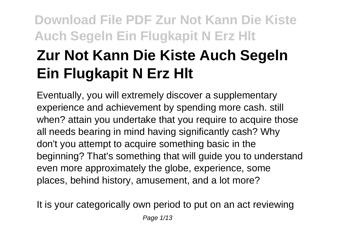# **Zur Not Kann Die Kiste Auch Segeln Ein Flugkapit N Erz Hlt**

Eventually, you will extremely discover a supplementary experience and achievement by spending more cash. still when? attain you undertake that you require to acquire those all needs bearing in mind having significantly cash? Why don't you attempt to acquire something basic in the beginning? That's something that will guide you to understand even more approximately the globe, experience, some places, behind history, amusement, and a lot more?

It is your categorically own period to put on an act reviewing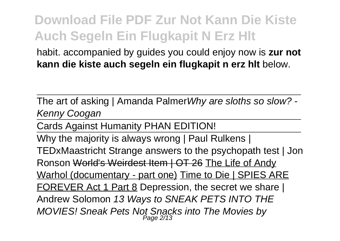habit. accompanied by guides you could enjoy now is **zur not kann die kiste auch segeln ein flugkapit n erz hlt** below.

The art of asking | Amanda PalmerWhy are sloths so slow? - Kenny Coogan

Cards Against Humanity PHAN EDITION!

Why the majority is always wrong | Paul Rulkens | TEDxMaastricht Strange answers to the psychopath test | Jon Ronson World's Weirdest Item | OT 26 The Life of Andy Warhol (documentary - part one) Time to Die | SPIES ARE FOREVER Act 1 Part 8 Depression, the secret we share | Andrew Solomon 13 Ways to SNEAK PETS INTO THE MOVIES! Sneak Pets Not Snacks into The Movies by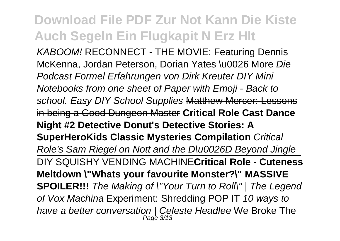KABOOM! RECONNECT - THE MOVIE: Featuring Dennis McKenna, Jordan Peterson, Dorian Yates \u0026 More Die Podcast Formel Erfahrungen von Dirk Kreuter DIY Mini Notebooks from one sheet of Paper with Emoji - Back to school. Easy DIY School Supplies Matthew Mercer: Lessons in being a Good Dungeon Master **Critical Role Cast Dance Night #2 Detective Donut's Detective Stories: A SuperHeroKids Classic Mysteries Compilation** Critical Role's Sam Riegel on Nott and the D\u0026D Beyond Jingle DIY SQUISHY VENDING MACHINE**Critical Role - Cuteness Meltdown \"Whats your favourite Monster?\" MASSIVE SPOILER!!!** The Making of \"Your Turn to Roll\" | The Legend of Vox Machina Experiment: Shredding POP IT 10 ways to have a better conversation | Celeste Headlee We Broke The<br>Page 3/13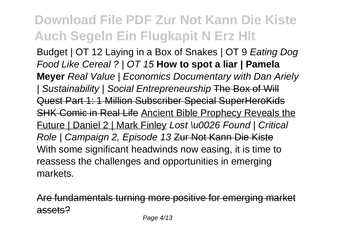Budget | OT 12 Laving in a Box of Snakes | OT 9 Eating Dog Food Like Cereal ? | OT 15 **How to spot a liar | Pamela Meyer** Real Value | Economics Documentary with Dan Ariely | Sustainability | Social Entrepreneurship The Box of Will Quest Part 1: 1 Million Subscriber Special SuperHeroKids SHK Comic in Real Life Ancient Bible Prophecy Reveals the Future | Daniel 2 | Mark Finley Lost \u0026 Found | Critical Role | Campaign 2, Episode 13 Zur Not Kann Die Kiste With some significant headwinds now easing, it is time to reassess the challenges and opportunities in emerging markets.

Are fundamentals turning more positive for emerging mark assets?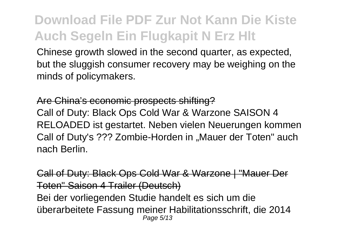Chinese growth slowed in the second quarter, as expected, but the sluggish consumer recovery may be weighing on the minds of policymakers.

#### Are China's economic prospects shifting?

Call of Duty: Black Ops Cold War & Warzone SAISON 4 RELOADED ist gestartet. Neben vielen Neuerungen kommen Call of Duty's ??? Zombie-Horden in "Mauer der Toten" auch nach Berlin.

Call of Duty: Black Ops Cold War & Warzone | "Mauer Der Toten" Saison 4 Trailer (Deutsch) Bei der vorliegenden Studie handelt es sich um die überarbeitete Fassung meiner Habilitationsschrift, die 2014 Page 5/13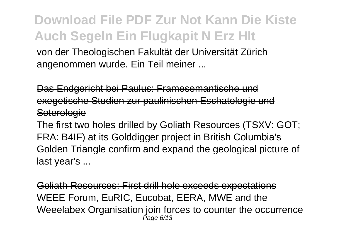von der Theologischen Fakultät der Universität Zürich angenommen wurde. Ein Teil meiner ...

Das Endgericht bei Paulus: Framesemantische und exegetische Studien zur paulinischen Eschatologie und **Soterologie** 

The first two holes drilled by Goliath Resources (TSXV: GOT; FRA: B4IF) at its Golddigger project in British Columbia's Golden Triangle confirm and expand the geological picture of last year's ...

Goliath Resources: First drill hole exceeds expectations WEEE Forum, EuRIC, Eucobat, EERA, MWE and the Weeelabex Organisation join forces to counter the occurrence Page 6/13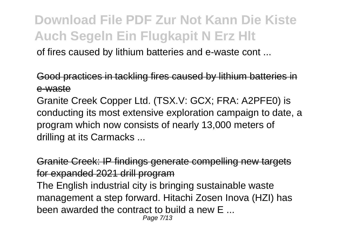of fires caused by lithium batteries and e-waste cont ...

Good practices in tackling fires caused by lithium batteries in e-waste

Granite Creek Copper Ltd. (TSX.V: GCX; FRA: A2PFE0) is conducting its most extensive exploration campaign to date, a program which now consists of nearly 13,000 meters of drilling at its Carmacks ...

Granite Creek: IP findings generate compelling new targets for expanded 2021 drill program

The English industrial city is bringing sustainable waste management a step forward. Hitachi Zosen Inova (HZI) has been awarded the contract to build a new E ... Page 7/13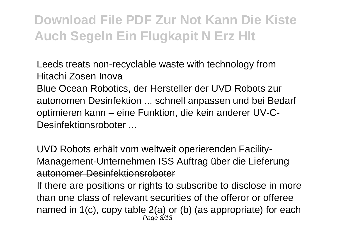Leeds treats non-recyclable waste with technology from Hitachi Zosen Inova

Blue Ocean Robotics, der Hersteller der UVD Robots zur autonomen Desinfektion ... schnell anpassen und bei Bedarf optimieren kann – eine Funktion, die kein anderer UV-C-Desinfektionsroboter ...

UVD Robots erhält vom weltweit operierenden Facility-Management-Unternehmen ISS Auftrag über die Lieferung autonomer Desinfektionsroboter

If there are positions or rights to subscribe to disclose in more than one class of relevant securities of the offeror or offeree named in 1(c), copy table 2(a) or (b) (as appropriate) for each Page 8/13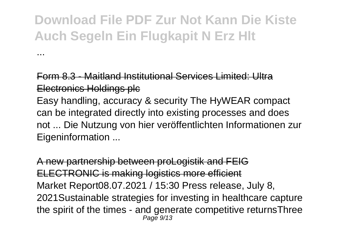...

Form 8.3 - Maitland Institutional Services Limited: Ultra Electronics Holdings plc Easy handling, accuracy & security The HyWEAR compact can be integrated directly into existing processes and does not ... Die Nutzung von hier veröffentlichten Informationen zur Eigeninformation ...

A new partnership between proLogistik and FEIG ELECTRONIC is making logistics more efficient Market Report08.07.2021 / 15:30 Press release, July 8, 2021Sustainable strategies for investing in healthcare capture the spirit of the times - and generate competitive returnsThree Page 9/13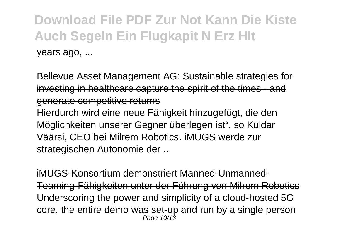Bellevue Asset Management AG: Sustainable strategies for investing in healthcare capture the spirit of the times - and generate competitive returns Hierdurch wird eine neue Fähigkeit hinzugefügt, die den Möglichkeiten unserer Gegner überlegen ist", so Kuldar Väärsi, CEO bei Milrem Robotics. iMUGS werde zur

strategischen Autonomie der ...

iMUGS-Konsortium demonstriert Manned-Unmanned-Teaming-Fähigkeiten unter der Führung von Milrem Robotics Underscoring the power and simplicity of a cloud-hosted 5G core, the entire demo was set-up and run by a single person Page 10/13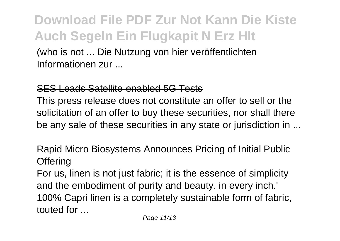(who is not ... Die Nutzung von hier veröffentlichten Informationen zur ...

#### SES Leads Satellite-enabled 5G Tests

This press release does not constitute an offer to sell or the solicitation of an offer to buy these securities, nor shall there be any sale of these securities in any state or jurisdiction in ...

#### Rapid Micro Biosystems Announces Pricing of Initial Public **Offering**

For us, linen is not just fabric; it is the essence of simplicity and the embodiment of purity and beauty, in every inch.' 100% Capri linen is a completely sustainable form of fabric, touted for ...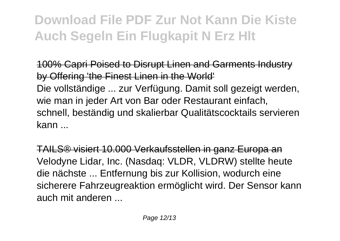100% Capri Poised to Disrupt Linen and Garments Industry by Offering 'the Finest Linen in the World' Die vollständige ... zur Verfügung. Damit soll gezeigt werden, wie man in jeder Art von Bar oder Restaurant einfach, schnell, beständig und skalierbar Qualitätscocktails servieren kann ...

TAILS® visiert 10.000 Verkaufsstellen in ganz Europa an Velodyne Lidar, Inc. (Nasdaq: VLDR, VLDRW) stellte heute die nächste ... Entfernung bis zur Kollision, wodurch eine sicherere Fahrzeugreaktion ermöglicht wird. Der Sensor kann auch mit anderen